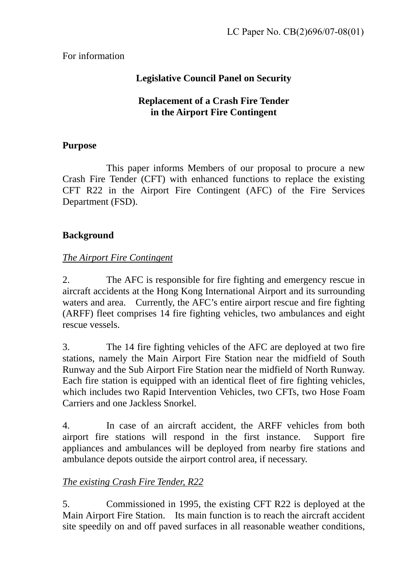### For information

# **Legislative Council Panel on Security**

### **Replacement of a Crash Fire Tender in the Airport Fire Contingent**

### **Purpose**

 This paper informs Members of our proposal to procure a new Crash Fire Tender (CFT) with enhanced functions to replace the existing CFT R22 in the Airport Fire Contingent (AFC) of the Fire Services Department (FSD).

# **Background**

## *The Airport Fire Contingent*

2. The AFC is responsible for fire fighting and emergency rescue in aircraft accidents at the Hong Kong International Airport and its surrounding waters and area. Currently, the AFC's entire airport rescue and fire fighting (ARFF) fleet comprises 14 fire fighting vehicles, two ambulances and eight rescue vessels.

3. The 14 fire fighting vehicles of the AFC are deployed at two fire stations, namely the Main Airport Fire Station near the midfield of South Runway and the Sub Airport Fire Station near the midfield of North Runway. Each fire station is equipped with an identical fleet of fire fighting vehicles, which includes two Rapid Intervention Vehicles, two CFTs, two Hose Foam Carriers and one Jackless Snorkel.

4. In case of an aircraft accident, the ARFF vehicles from both airport fire stations will respond in the first instance. Support fire appliances and ambulances will be deployed from nearby fire stations and ambulance depots outside the airport control area, if necessary.

# *The existing Crash Fire Tender, R22*

5. Commissioned in 1995, the existing CFT R22 is deployed at the Main Airport Fire Station. Its main function is to reach the aircraft accident site speedily on and off paved surfaces in all reasonable weather conditions,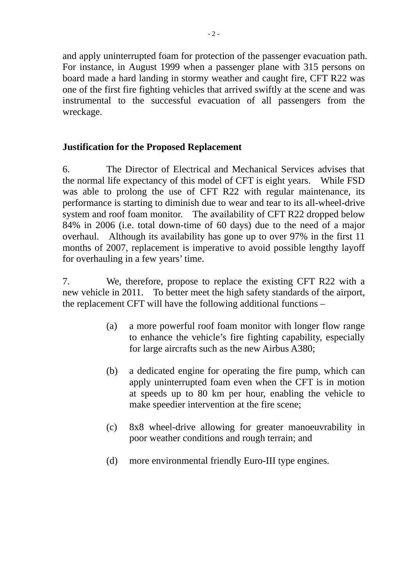and apply uninterrupted foam for protection of the passenger evacuation path. For instance, in August 1999 when a passenger plane with 315 persons on board made a hard landing in stormy weather and caught fire, CFT R22 was one of the first fire fighting vehicles that arrived swiftly at the scene and was instrumental to the successful evacuation of all passengers from the wreckage.

### **Justification for the Proposed Replacement**

6. The Director of Electrical and Mechanical Services advises that the normal life expectancy of this model of CFT is eight years. While FSD was able to prolong the use of CFT R22 with regular maintenance, its performance is starting to diminish due to wear and tear to its all-wheel-drive system and roof foam monitor. The availability of CFT R22 dropped below 84% in 2006 (i.e. total down-time of 60 days) due to the need of a major overhaul. Although its availability has gone up to over 97% in the first 11 months of 2007, replacement is imperative to avoid possible lengthy layoff for overhauling in a few years' time.

7. We, therefore, propose to replace the existing CFT R22 with a new vehicle in 2011. To better meet the high safety standards of the airport, the replacement CFT will have the following additional functions –

- (a) a more powerful roof foam monitor with longer flow range to enhance the vehicle's fire fighting capability, especially for large aircrafts such as the new Airbus A380;
- (b) a dedicated engine for operating the fire pump, which can apply uninterrupted foam even when the CFT is in motion at speeds up to 80 km per hour, enabling the vehicle to make speedier intervention at the fire scene;
- (c) 8x8 wheel-drive allowing for greater manoeuvrability in poor weather conditions and rough terrain; and
- (d) more environmental friendly Euro-III type engines.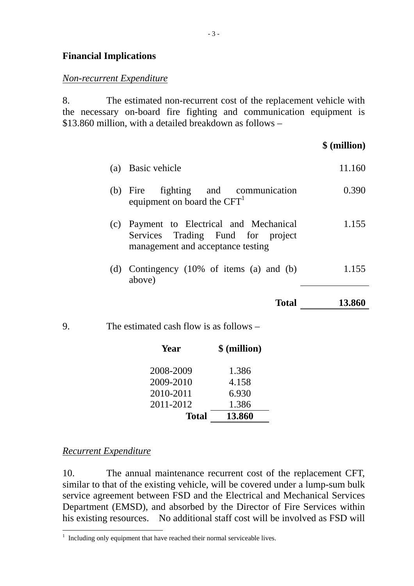#### **Financial Implications**

#### *Non-recurrent Expenditure*

8. The estimated non-recurrent cost of the replacement vehicle with the necessary on-board fire fighting and communication equipment is \$13.860 million, with a detailed breakdown as follows –

 **\$ (million)**

|    | \$(million)<br>Year                                                                                                |        |
|----|--------------------------------------------------------------------------------------------------------------------|--------|
| 9. | The estimated cash flow is as follows $-$                                                                          |        |
|    | <b>Total</b>                                                                                                       | 13.860 |
|    | (d) Contingency $(10\% \text{ of items } (a) \text{ and } (b))$<br>above)                                          | 1.155  |
|    | (c) Payment to Electrical and Mechanical<br>Services Trading Fund for project<br>management and acceptance testing | 1.155  |
|    | (b) Fire fighting and communication<br>equipment on board the $CFT1$                                               | 0.390  |
|    | (a) Basic vehicle                                                                                                  | 11.160 |

| Total     | 13.860 |
|-----------|--------|
| 2011-2012 | 1.386  |
| 2010-2011 | 6.930  |
| 2009-2010 | 4.158  |
| 2008-2009 | 1.386  |
|           |        |

*Recurrent Expenditure*

10. The annual maintenance recurrent cost of the replacement CFT, similar to that of the existing vehicle, will be covered under a lump-sum bulk service agreement between FSD and the Electrical and Mechanical Services Department (EMSD), and absorbed by the Director of Fire Services within his existing resources. No additional staff cost will be involved as FSD will

<sup>&</sup>lt;sup>1</sup> Including only equipment that have reached their normal serviceable lives.